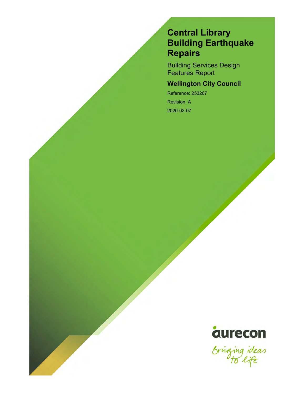# Central Library Building Earthquake Repairs

Building Services Design Features Report

### Wellington City Council

Reference: 253267 Revision: A 2020-02-07



Sringing ideas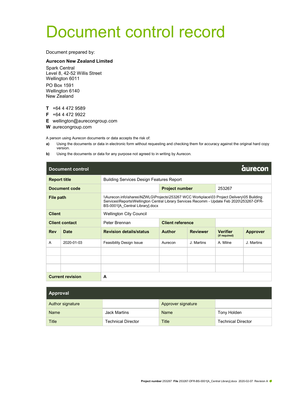# Document control record

Document prepared by:

#### Aurecon New Zealand Limited

Spark Central Level 8, 42-52 Willis Street Wellington 6011 PO Box 1591 Wellington 6140 New Zealand

T +64 4 472 9589

F +64 4 472 9922

E wellington@aurecongroup.com

W aurecongroup.com

A person using Aurecon documents or data accepts the risk of:

- a) Using the documents or data in electronic form without requesting and checking them for accuracy against the original hard copy version.
- b) Using the documents or data for any purpose not agreed to in writing by Aurecon.

|                     | <b>aurecon</b><br><b>Document control</b> |                                                                                                                                                                                                                           |                                                 |                 |                                  |                 |  |  |  |
|---------------------|-------------------------------------------|---------------------------------------------------------------------------------------------------------------------------------------------------------------------------------------------------------------------------|-------------------------------------------------|-----------------|----------------------------------|-----------------|--|--|--|
| <b>Report title</b> |                                           |                                                                                                                                                                                                                           | <b>Building Services Design Features Report</b> |                 |                                  |                 |  |  |  |
|                     | Document code                             |                                                                                                                                                                                                                           | <b>Project number</b>                           |                 | 253267                           |                 |  |  |  |
| File path           |                                           | \\Aurecon.info\shares\NZWLG\Projects\253267 WCC Workplace\03 Project Delivery\05 Building<br>Services\Reports\Wellington Central Library Services Recomm - Update Feb 2020\253267-DFR-<br>BS-0001[A Central Library].docx |                                                 |                 |                                  |                 |  |  |  |
| <b>Client</b>       |                                           | <b>Wellington City Council</b>                                                                                                                                                                                            |                                                 |                 |                                  |                 |  |  |  |
|                     | <b>Client contact</b>                     | Peter Brennan                                                                                                                                                                                                             | <b>Client reference</b>                         |                 |                                  |                 |  |  |  |
| <b>Rev</b>          | Date                                      | <b>Revision details/status</b>                                                                                                                                                                                            | <b>Author</b>                                   | <b>Reviewer</b> | <b>Verifier</b><br>(if required) | <b>Approver</b> |  |  |  |
| A                   | 2020-01-03                                | <b>Feasibility Design Issue</b>                                                                                                                                                                                           | Aurecon                                         | J. Martins      | A. Milne                         | J. Martins      |  |  |  |
|                     |                                           |                                                                                                                                                                                                                           |                                                 |                 |                                  |                 |  |  |  |
|                     |                                           |                                                                                                                                                                                                                           |                                                 |                 |                                  |                 |  |  |  |
|                     |                                           |                                                                                                                                                                                                                           |                                                 |                 |                                  |                 |  |  |  |
|                     | <b>Current revision</b>                   | A                                                                                                                                                                                                                         |                                                 |                 |                                  |                 |  |  |  |

| Approval         |                           |                    |                           |  |  |  |
|------------------|---------------------------|--------------------|---------------------------|--|--|--|
| Author signature |                           | Approver signature |                           |  |  |  |
| Name             | <b>Jack Martins</b>       | Name               | Tony Holden               |  |  |  |
| Title            | <b>Technical Director</b> | Title              | <b>Technical Director</b> |  |  |  |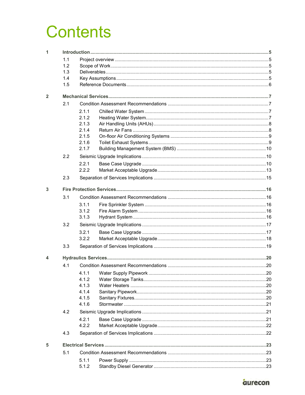# **Contents**

| 1                       |     |                |  |  |  |  |  |  |
|-------------------------|-----|----------------|--|--|--|--|--|--|
|                         | 1.1 |                |  |  |  |  |  |  |
|                         | 1.2 |                |  |  |  |  |  |  |
|                         | 1.3 |                |  |  |  |  |  |  |
|                         | 1.4 |                |  |  |  |  |  |  |
|                         | 1.5 |                |  |  |  |  |  |  |
| $\overline{\mathbf{2}}$ |     |                |  |  |  |  |  |  |
|                         | 2.1 |                |  |  |  |  |  |  |
|                         |     | 2.1.1          |  |  |  |  |  |  |
|                         |     | 2.1.2          |  |  |  |  |  |  |
|                         |     | 2.1.3          |  |  |  |  |  |  |
|                         |     | 2.1.4          |  |  |  |  |  |  |
|                         |     | 2.1.5          |  |  |  |  |  |  |
|                         |     | 2.1.6          |  |  |  |  |  |  |
|                         |     | 2.1.7          |  |  |  |  |  |  |
|                         | 2.2 |                |  |  |  |  |  |  |
|                         |     | 2.2.1          |  |  |  |  |  |  |
|                         |     | 2.2.2          |  |  |  |  |  |  |
|                         | 2.3 |                |  |  |  |  |  |  |
| 3                       |     |                |  |  |  |  |  |  |
|                         | 3.1 |                |  |  |  |  |  |  |
|                         |     | 3.1.1          |  |  |  |  |  |  |
|                         |     | 3.1.2          |  |  |  |  |  |  |
|                         |     | 3.1.3          |  |  |  |  |  |  |
|                         | 3.2 |                |  |  |  |  |  |  |
|                         |     | 3.2.1          |  |  |  |  |  |  |
|                         |     | 3.2.2          |  |  |  |  |  |  |
|                         | 3.3 |                |  |  |  |  |  |  |
| 4                       |     |                |  |  |  |  |  |  |
|                         | 4.1 |                |  |  |  |  |  |  |
|                         |     |                |  |  |  |  |  |  |
|                         |     | 4.1.2          |  |  |  |  |  |  |
|                         |     | 4.1.3          |  |  |  |  |  |  |
|                         |     | 4.1.4          |  |  |  |  |  |  |
|                         |     | 4.1.5          |  |  |  |  |  |  |
|                         |     | 4.1.6          |  |  |  |  |  |  |
|                         | 4.2 |                |  |  |  |  |  |  |
|                         |     | 4.2.1          |  |  |  |  |  |  |
|                         |     | 4.2.2          |  |  |  |  |  |  |
|                         | 4.3 |                |  |  |  |  |  |  |
| 5                       |     |                |  |  |  |  |  |  |
|                         | 5.1 |                |  |  |  |  |  |  |
|                         |     |                |  |  |  |  |  |  |
|                         |     | 5.1.1<br>5.1.2 |  |  |  |  |  |  |
|                         |     |                |  |  |  |  |  |  |

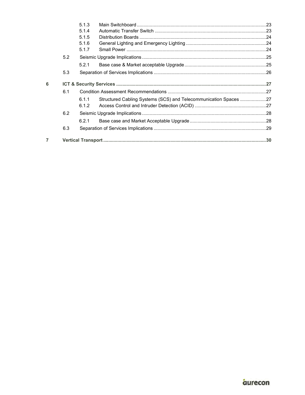|                |     | 5.1.3 |                                                                  |  |
|----------------|-----|-------|------------------------------------------------------------------|--|
|                |     | 5.1.4 |                                                                  |  |
|                |     | 5.1.5 |                                                                  |  |
|                |     | 5.1.6 |                                                                  |  |
|                |     | 5.1.7 |                                                                  |  |
|                | 5.2 |       |                                                                  |  |
|                |     | 5.2.1 |                                                                  |  |
|                | 5.3 |       |                                                                  |  |
| 6              |     |       |                                                                  |  |
|                | 6.1 |       |                                                                  |  |
|                |     | 6.1.1 | Structured Cabling Systems (SCS) and Telecommunication Spaces 27 |  |
|                |     | 6.1.2 |                                                                  |  |
|                | 6.2 |       |                                                                  |  |
|                |     | 6.2.1 |                                                                  |  |
|                | 6.3 |       |                                                                  |  |
| $\overline{7}$ |     |       |                                                                  |  |
|                |     |       |                                                                  |  |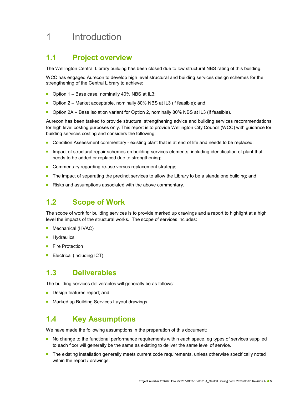# 1 Introduction

### 1.1 Project overview

The Wellington Central Library building has been closed due to low structural NBS rating of this building.

WCC has engaged Aurecon to develop high level structural and building services design schemes for the strengthening of the Central Library to achieve:

- Option  $1 -$  Base case, nominally 40% NBS at IL3;
- Option 2 Market acceptable, nominally 80% NBS at IL3 (if feasible); and
- Option 2A Base isolation variant for Option 2, nominally 80% NBS at IL3 (if feasible).

Aurecon has been tasked to provide structural strengthening advice and building services recommendations for high level costing purposes only. This report is to provide Wellington City Council (WCC) with guidance for building services costing and considers the following:

- **Condition Assessment commentary existing plant that is at end of life and needs to be replaced;**
- **Impact of structural repair schemes on building services elements, including identification of plant that** needs to be added or replaced due to strengthening;
- Commentary regarding re-use versus replacement strategy;
- The impact of separating the precinct services to allow the Library to be a standalone building; and
- Risks and assumptions associated with the above commentary.

### 1.2 Scope of Work

The scope of work for building services is to provide marked up drawings and a report to highlight at a high level the impacts of the structural works. The scope of services includes:

- Mechanical (HVAC)
- **Hydraulics**
- Fire Protection
- **Electrical (including ICT)**

### 1.3 Deliverables

The building services deliverables will generally be as follows:

- Design features report; and
- Marked up Building Services Layout drawings.

### 1.4 Key Assumptions

We have made the following assumptions in the preparation of this document:

- No change to the functional performance requirements within each space, eg types of services supplied to each floor will generally be the same as existing to deliver the same level of service.
- The existing installation generally meets current code requirements, unless otherwise specifically noted within the report / drawings.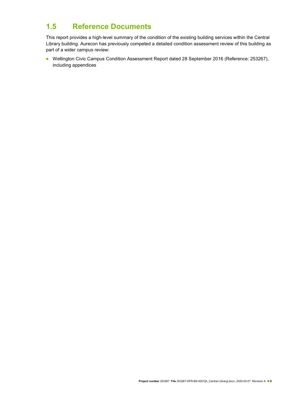### 1.5 Reference Documents

This report provides a high-level summary of the condition of the existing building services within the Central Library building. Aurecon has previously competed a detailed condition assessment review of this building as part of a wider campus review:

■ Wellington Civic Campus Condition Assessment Report dated 28 September 2016 (Reference: 253267), including appendices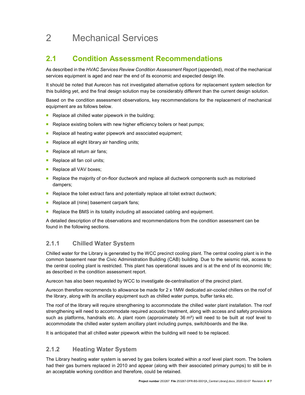# 2 Mechanical Services

### 2.1 Condition Assessment Recommendations

As described in the HVAC Services Review Condition Assessment Report (appended), most of the mechanical services equipment is aged and near the end of its economic and expected design life.

It should be noted that Aurecon has not investigated alternative options for replacement system selection for this building yet, and the final design solution may be considerably different than the current design solution.

Based on the condition assessment observations, key recommendations for the replacement of mechanical equipment are as follows below.

- Replace all chilled water pipework in the building;
- **Replace existing boilers with new higher efficiency boilers or heat pumps;**
- Replace all heating water pipework and associated equipment;
- Replace all eight library air handling units;
- Replace all return air fans;
- Replace all fan coil units;
- Replace all VAV boxes;
- Replace the majority of on-floor ductwork and replace all ductwork components such as motorised dampers;
- Replace the toilet extract fans and potentially replace all toilet extract ductwork;
- Replace all (nine) basement carpark fans;
- Replace the BMS in its totality including all associated cabling and equipment.

A detailed description of the observations and recommendations from the condition assessment can be found in the following sections.

### 2.1.1 Chilled Water System

Chilled water for the Library is generated by the WCC precinct cooling plant. The central cooling plant is in the common basement near the Civic Administration Building (CAB) building. Due to the seismic risk, access to the central cooling plant is restricted. This plant has operational issues and is at the end of its economic life; as described in the condition assessment report.

Aurecon has also been requested by WCC to investigate de-centralisation of the precinct plant.

Aurecon therefore recommends to allowance be made for 2 x 1MW dedicated air-cooled chillers on the roof of the library, along with its ancillary equipment such as chilled water pumps, buffer tanks etc.

The roof of the library will require strengthening to accommodate the chilled water plant installation. The roof strengthening will need to accommodate required acoustic treatment, along with access and safety provisions such as platforms, handrails etc. A plant room (approximately 36 m<sup>2</sup>) will need to be built at roof level to accommodate the chilled water system ancillary plant including pumps, switchboards and the like.

It is anticipated that all chilled water pipework within the building will need to be replaced.

### 2.1.2 Heating Water System

The Library heating water system is served by gas boilers located within a roof level plant room. The boilers had their gas burners replaced in 2010 and appear (along with their associated primary pumps) to still be in an acceptable working condition and therefore, could be retained.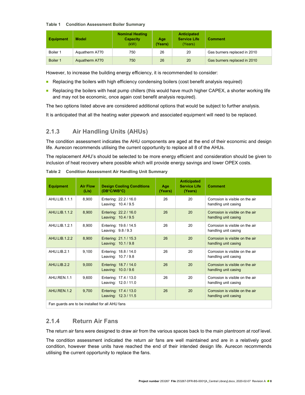#### Table 1 Condition Assessment Boiler Summary

| <b>Equipment</b> | <b>Model</b>   | <b>Nominal Heating</b><br><b>Capacity</b><br>(kW) | Age<br>(Years) | <b>Anticipated</b><br><b>Service Life</b><br>(Years) | <b>Comment</b>               |
|------------------|----------------|---------------------------------------------------|----------------|------------------------------------------------------|------------------------------|
| Boiler 1         | Aquatherm A770 | 750                                               | 26             | 20                                                   | Gas burners replaced in 2010 |
| Boiler 1         | Aquatherm A770 | 750                                               | 26             | 20                                                   | Gas burners replaced in 2010 |

However, to increase the building energy efficiency, it is recommended to consider:

- Replacing the boilers with high efficiency condensing boilers (cost benefit analysis required)
- Replacing the boilers with heat pump chillers (this would have much higher CAPEX, a shorter working life and may not be economic, once again cost benefit analysis required).

The two options listed above are considered additional options that would be subject to further analysis.

It is anticipated that all the heating water pipework and associated equipment will need to be replaced.

### 2.1.3 Air Handling Units (AHUs)

The condition assessment indicates the AHU components are aged at the end of their economic and design life. Aurecon recommends utilising the current opportunity to replace all 8 of the AHUs.

The replacement AHU's should be selected to be more energy efficient and consideration should be given to inclusion of heat recovery where possible which will provide energy savings and lower OPEX costs.

| <b>Equipment</b>     | <b>Air Flow</b><br>(L/s) | <b>Design Cooling Conditions</b><br>(DB°C/WB°C) | Age<br>(Years) | <b>Anticipated</b><br><b>Service Life</b><br>(Years) | <b>Comment</b>                                          |
|----------------------|--------------------------|-------------------------------------------------|----------------|------------------------------------------------------|---------------------------------------------------------|
| AHU.LIB.1.1.1        | 8,900                    | Entering: 22.2 / 16.0<br>Leaving: 10.4 / 9.5    | 26             | 20                                                   | Corrosion is visible on the air<br>handling unit casing |
| AHU.LIB.1.1.2        | 8,900                    | Entering: 22.2 / 16.0<br>Leaving: 10.4 / 9.5    | 26             | 20                                                   | Corrosion is visible on the air<br>handling unit casing |
| AHU.LIB.1.2.1        | 8,900                    | Entering: 19.6 / 14.5<br>Leaving: 9.8 / 9.3     | 26             | 20                                                   | Corrosion is visible on the air<br>handling unit casing |
| <b>AHU.LIB.1.2.2</b> | 8,900                    | Entering: 21.1 / 15.3<br>Leaving: 10.1/9.8      | 26             | 20                                                   | Corrosion is visible on the air<br>handling unit casing |
| AHU.LIB.2.1          | 9,100                    | Entering: 18.8 / 14.0<br>Leaving: 10.7/9.8      | 26             | 20                                                   | Corrosion is visible on the air<br>handling unit casing |
| AHU.LIB.2.2          | 9,000                    | Entering: 18.7 / 14.0<br>Leaving: 10.0 / 9.6    | 26             | 20                                                   | Corrosion is visible on the air<br>handling unit casing |
| AHU.REN.1.1          | 9,600                    | Entering: 17.4 / 13.0<br>Leaving: 12.0 / 11.0   | 26             | 20                                                   | Corrosion is visible on the air<br>handling unit casing |
| AHU.REN.1.2          | 9,700                    | Entering: 17.4 / 13.0<br>Leaving: 12.3 / 11.5   | 26             | 20                                                   | Corrosion is visible on the air<br>handling unit casing |
|                      |                          |                                                 |                |                                                      |                                                         |

Table 2 Condition Assessment Air Handling Unit Summary

Fan guards are to be installed for all AHU fans

### 2.1.4 Return Air Fans

The return air fans were designed to draw air from the various spaces back to the main plantroom at roof level.

The condition assessment indicated the return air fans are well maintained and are in a relatively good condition, however these units have reached the end of their intended design life. Aurecon recommends utilising the current opportunity to replace the fans.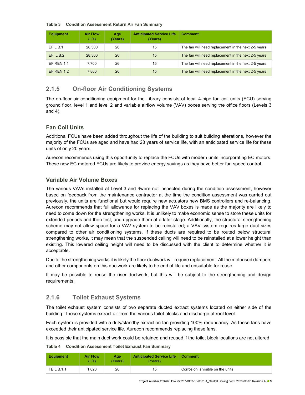#### Table 3 Condition Assessment Return Air Fan Summary

| <b>Equipment</b>  | <b>Air Flow</b><br>(L/s) | Age<br>(Years) | <b>Anticipated Service Life</b><br>(Years) | <b>Comment</b>                                      |
|-------------------|--------------------------|----------------|--------------------------------------------|-----------------------------------------------------|
| EF.LIB.1          | 28.300                   | 26             | 15                                         | The fan will need replacement in the next 2-5 years |
| EF. LIB.2         | 28,300                   | 26             | 15                                         | The fan will need replacement in the next 2-5 years |
| <b>EF.REN.1.1</b> | 7.700                    | 26             | 15                                         | The fan will need replacement in the next 2-5 years |
| <b>EF.REN.1.2</b> | 7.800                    | 26             | 15                                         | The fan will need replacement in the next 2-5 years |

### 2.1.5 On-floor Air Conditioning Systems

The on-floor air conditioning equipment for the Library consists of local 4-pipe fan coil units (FCU) serving ground floor, level 1 and level 2 and variable airflow volume (VAV) boxes serving the office floors (Levels 3 and 4).

### Fan Coil Units

Additional FCUs have been added throughout the life of the building to suit building alterations, however the majority of the FCUs are aged and have had 28 years of service life, with an anticipated service life for these units of only 20 years.

Aurecon recommends using this opportunity to replace the FCUs with modern units incorporating EC motors. These new EC motored FCUs are likely to provide energy savings as they have better fan speed control.

#### Variable Air Volume Boxes

The various VAVs installed at Level 3 and 4were not inspected during the condition assessment, however based on feedback from the maintenance contractor at the time the condition assessment was carried out previously, the units are functional but would require new actuators new BMS controllers and re-balancing. Aurecon recommends that full allowance for replacing the VAV boxes is made as the majority are likely to need to come down for the strengthening works. It is unlikely to make economic sense to store these units for extended periods and then test, and upgrade them at a later stage. Additionally, the structural strengthening scheme may not allow space for a VAV system to be reinstalled; a VAV system requires large duct sizes compared to other air conditioning systems. If these ducts are required to be routed below structural strengthening works, it may mean that the suspended ceiling will need to be reinstalled at a lower height than existing. This lowered ceiling height will need to be discussed with the client to determine whether it is acceptable.

Due to the strengthening works it is likely the floor ductwork will require replacement. All the motorised dampers and other components on this ductwork are likely to be end of life and unsuitable for reuse.

It may be possible to reuse the riser ductwork, but this will be subject to the strengthening and design requirements.

### 2.1.6 Toilet Exhaust Systems

The toilet exhaust system consists of two separate ducted extract systems located on either side of the building. These systems extract air from the various toilet blocks and discharge at roof level.

Each system is provided with a duty/standby extraction fan providing 100% redundancy. As these fans have exceeded their anticipated service life, Aurecon recommends replacing these fans.

It is possible that the main duct work could be retained and reused if the toilet block locations are not altered

| <b>Condition Assessment Toilet Exhaust Fan Summary</b> |
|--------------------------------------------------------|
|                                                        |

| <b>Equipment</b>  | <b>Air Flow</b><br>(L/s) | Age<br><b>Years</b> | <b>Anticipated Service Life</b><br>'Years). | Comment                           |
|-------------------|--------------------------|---------------------|---------------------------------------------|-----------------------------------|
| <b>TE.LIB.1.1</b> | .020                     | 26                  | 15                                          | Corrosion is visible on the units |

Project number 253267 File 253267-DFR-BS-0001[A\_Central Library].docx, 2020-02-07 Revision A <sup>9</sup>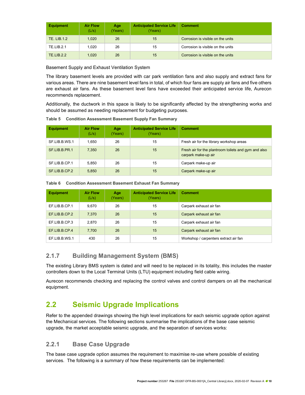| <b>Equipment</b>  | <b>Air Flow</b><br>(L/s) | Age<br>(Years) | <b>Anticipated Service Life</b><br>(Years) | <b>Comment</b>                    |
|-------------------|--------------------------|----------------|--------------------------------------------|-----------------------------------|
| TE. LIB.1.2       | 1.020                    | 26             | 15                                         | Corrosion is visible on the units |
| TE.LIB.2.1        | 1.020                    | 26             | 15                                         | Corrosion is visible on the units |
| <b>TE.LIB.2.2</b> | 1.020                    | 26             | 15                                         | Corrosion is visible on the units |

Basement Supply and Exhaust Ventilation System

The library basement levels are provided with car park ventilation fans and also supply and extract fans for various areas. There are nine basement level fans in total, of which four fans are supply air fans and five others are exhaust air fans. As these basement level fans have exceeded their anticipated service life, Aurecon recommends replacement.

Additionally, the ductwork in this space is likely to be significantly affected by the strengthening works and should be assumed as needing replacement for budgeting purposes.

| <b>Equipment</b> | <b>Air Flow</b><br>(L/s) | Age<br>(Years) | <b>Anticipated Service Life</b><br>(Years) | <b>Comment</b>                                                              |
|------------------|--------------------------|----------------|--------------------------------------------|-----------------------------------------------------------------------------|
| SF.LIB.B.WS.1    | 1.650                    | 26             | 15                                         | Fresh air for the library workshop areas                                    |
| SF.LIB.B.PR.1    | 7.350                    | 26             | 15                                         | Fresh air for the plantroom toilets and gym and also<br>carpark make-up air |
| SF.LIB.B.CP.1    | 5,850                    | 26             | 15                                         | Carpark make-up air                                                         |
| SF.LIB.B.CP.2    | 5,850                    | 26             | 15                                         | Carpark make-up air                                                         |

Table 5 Condition Assessment Basement Supply Fan Summary

| <b>Equipment</b> | <b>Air Flow</b><br>(L/s) | Age<br>(Years) | <b>Anticipated Service Life</b><br>(Years) | <b>Comment</b>                        |
|------------------|--------------------------|----------------|--------------------------------------------|---------------------------------------|
| EF.LIB.B.CP.1    | 9,670                    | 26             | 15                                         | Carpark exhaust air fan               |
| EF.LIB.B.CP.2    | 7,370                    | 26             | 15                                         | Carpark exhaust air fan               |
| EF.LIB.B.CP.3    | 2.870                    | 26             | 15                                         | Carpark exhaust air fan               |
| EF.LIB.B.CP.4    | 7,700                    | 26             | 15                                         | Carpark exhaust air fan               |
| EF.LIB.B.WS.1    | 430                      | 26             | 15                                         | Workshop / carpenters extract air fan |

Table 6 Condition Assessment Basement Exhaust Fan Summary

### 2.1.7 Building Management System (BMS)

The existing Library BMS system is dated and will need to be replaced in its totality, this includes the master controllers down to the Local Terminal Units (LTU) equipment including field cable wiring.

Aurecon recommends checking and replacing the control valves and control dampers on all the mechanical equipment.

### 2.2 Seismic Upgrade Implications

Refer to the appended drawings showing the high level implications for each seismic upgrade option against the Mechanical services. The following sections summarise the implications of the base case seismic upgrade, the market acceptable seismic upgrade, and the separation of services works:

### 2.2.1 Base Case Upgrade

The base case upgrade option assumes the requirement to maximise re-use where possible of existing services. The following is a summary of how these requirements can be implemented: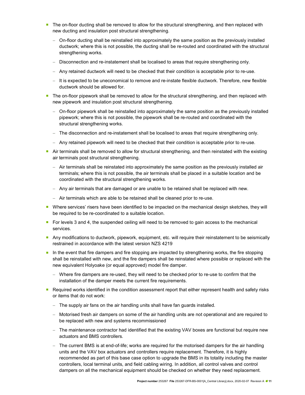- **The on-floor ducting shall be removed to allow for the structural strengthening, and then replaced with** new ducting and insulation post structural strengthening.
	- On-floor ducting shall be reinstalled into approximately the same position as the previously installed ductwork; where this is not possible, the ducting shall be re-routed and coordinated with the structural strengthening works.
	- Disconnection and re-instatement shall be localised to areas that require strengthening only.
	- Any retained ductwork will need to be checked that their condition is acceptable prior to re-use.
	- It is expected to be uneconomical to remove and re-instate flexible ductwork. Therefore, new flexible ductwork should be allowed for.
- The on-floor pipework shall be removed to allow for the structural strengthening, and then replaced with new pipework and insulation post structural strengthening.
	- On-floor pipework shall be reinstalled into approximately the same position as the previously installed pipework; where this is not possible, the pipework shall be re-routed and coordinated with the structural strengthening works.
	- $-$  The disconnection and re-instatement shall be localised to areas that require strengthening only.
	- Any retained pipework will need to be checked that their condition is acceptable prior to re-use.
- Air terminals shall be removed to allow for structural strengthening, and then reinstated with the existing air terminals post structural strengthening.
	- $-$  Air terminals shall be reinstated into approximately the same position as the previously installed air terminals; where this is not possible, the air terminals shall be placed in a suitable location and be coordinated with the structural strengthening works.
	- Any air terminals that are damaged or are unable to be retained shall be replaced with new.
	- Air terminals which are able to be retained shall be cleaned prior to re-use.
- Where services' risers have been identified to be impacted on the mechanical design sketches, they will be required to be re-coordinated to a suitable location.
- **For levels 3 and 4, the suspended ceiling will need to be removed to gain access to the mechanical** services.
- Any modifications to ductwork, pipework, equipment, etc. will require their reinstatement to be seismically restrained in accordance with the latest version NZS 4219
- In the event that fire dampers and fire stopping are impacted by strengthening works, the fire stopping shall be reinstalled with new, and the fire dampers shall be reinstated where possible or replaced with the new equivalent Holyoake (or equal approved) model fire damper.
	- Where fire dampers are re-used, they will need to be checked prior to re-use to confirm that the installation of the damper meets the current fire requirements.
- Required works identified in the condition assessment report that either represent health and safety risks or items that do not work:
	- The supply air fans on the air handling units shall have fan guards installed.
	- Motorised fresh air dampers on some of the air handling units are not operational and are required to be replaced with new and systems recommissioned
	- The maintenance contractor had identified that the existing VAV boxes are functional but require new actuators and BMS controllers.
	- The current BMS is at end-of-life; works are required for the motorised dampers for the air handling units and the VAV box actuators and controllers require replacement. Therefore, it is highly recommended as part of this base case option to upgrade the BMS in its totality including the master controllers, local terminal units, and field cabling wiring. In addition, all control valves and control dampers on all the mechanical equipment should be checked on whether they need replacement.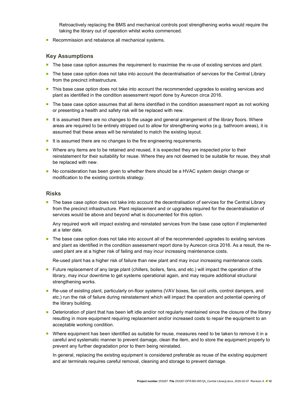Retroactively replacing the BMS and mechanical controls post strengthening works would require the taking the library out of operation whilst works commenced.

Recommission and rebalance all mechanical systems.

#### Key Assumptions

- **The base case option assumes the requirement to maximise the re-use of existing services and plant.**
- The base case option does not take into account the decentralisation of services for the Central Library from the precinct infrastructure.
- **This base case option does not take into account the recommended upgrades to existing services and** plant as identified in the condition assessment report done by Aurecon circa 2016.
- The base case option assumes that all items identified in the condition assessment report as not working or presenting a health and safety risk will be replaced with new.
- It is assumed there are no changes to the usage and general arrangement of the library floors. Where areas are required to be entirely stripped out to allow for strengthening works (e.g. bathroom areas), it is assumed that these areas will be reinstated to match the existing layout.
- It is assumed there are no changes to the fire engineering requirements.
- **Number** Where any items are to be retained and reused, it is expected they are inspected prior to their reinstatement for their suitability for reuse. Where they are not deemed to be suitable for reuse, they shall be replaced with new.
- No consideration has been given to whether there should be a HVAC system design change or modification to the existing controls strategy.

#### Risks

The base case option does not take into account the decentralisation of services for the Central Library from the precinct infrastructure. Plant replacement and or upgrades required for the decentralisation of services would be above and beyond what is documented for this option.

Any required work will impact existing and reinstated services from the base case option if implemented at a later date.

**The base case option does not take into account all of the recommended upgrades to existing services** and plant as identified in the condition assessment report done by Aurecon circa 2016. As a result, the reused plant are at a higher risk of failing and may incur increasing maintenance costs.

Re-used plant has a higher risk of failure than new plant and may incur increasing maintenance costs.

- **Future replacement of any large plant (chillers, boilers, fans, and etc.) will impact the operation of the** library, may incur downtime to get systems operational again, and may require additional structural strengthening works.
- Re-use of existing plant, particularly on-floor systems (VAV boxes, fan coil units, control dampers, and etc.) run the risk of failure during reinstatement which will impact the operation and potential opening of the library building.
- Deterioration of plant that has been left idle and/or not regularly maintained since the closure of the library resulting in more equipment requiring replacement and/or increased costs to repair the equipment to an acceptable working condition.
- Where equipment has been identified as suitable for reuse, measures need to be taken to remove it in a careful and systematic manner to prevent damage, clean the item, and to store the equipment properly to prevent any further degradation prior to them being reinstated.

In general, replacing the existing equipment is considered preferable as reuse of the existing equipment and air terminals requires careful removal, cleaning and storage to prevent damage.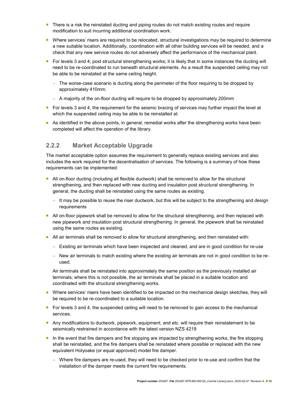- There is a risk the reinstated ducting and piping routes do not match existing routes and require modification to suit incurring additional coordination work.
- Where services' risers are required to be relocated, structural investigations may be required to determine a new suitable location. Additionally, coordination with all other building services will be needed, and a check that any new service routes do not adversely affect the performance of the mechanical plant.
- For levels 3 and 4; post structural strengthening works; it is likely that in some instances the ducting will need to be re-coordinated to run beneath structural elements. As a result the suspended ceiling may not be able to be reinstated at the same ceiling height.
	- The worse-case scenario is ducting along the perimeter of the floor requiring to be dropped by approximately 410mm.
	- A majority of the on-floor ducting will require to be dropped by approximately 200mm
- For levels 3 and 4, the requirement for the seismic bracing of services may further impact the level at which the suspended ceiling may be able to be reinstalled at.
- As identified in the above points, in general, remedial works after the strengthening works have been completed will affect the operation of the library.

### 2.2.2 Market Acceptable Upgrade

The market acceptable option assumes the requirement to generally replace existing services and also includes the work required for the decentralisation of services. The following is a summary of how these requirements can be implemented:

- **All on-floor ducting (including all flexible ductwork) shall be removed to allow for the structural** strengthening, and then replaced with new ducting and insulation post structural strengthening. In general, the ducting shall be reinstated using the same routes as existing.
	- It may be possible to reuse the riser ductwork, but this will be subject to the strengthening and design requirements
- All on-floor pipework shall be removed to allow for the structural strengthening, and then replaced with new pipework and insulation post structural strengthening. In general, the pipework shall be reinstated using the same routes as existing.
- All air terminals shall be removed to allow for structural strengthening, and then reinstated with:
	- Existing air terminals which have been inspected and cleaned, and are in good condition for re-use
	- New air terminals to match existing where the existing air terminals are not in good condition to be reused.

Air terminals shall be reinstated into approximately the same position as the previously installed air terminals; where this is not possible, the air terminals shall be placed in a suitable location and coordinated with the structural strengthening works.

- Where services' risers have been identified to be impacted on the mechanical design sketches, they will be required to be re-coordinated to a suitable location.
- **For levels 3 and 4, the suspended ceiling will need to be removed to gain access to the mechanical** services.
- Any modifications to ductwork, pipework, equipment, and etc. will require their reinstatement to be seismically restrained in accordance with the latest version NZS 4219
- In the event that fire dampers and fire stopping are impacted by strengthening works, the fire stopping shall be reinstalled, and the fire dampers shall be reinstated where possible or replaced with the new equivalent Holyoake (or equal approved) model fire damper.
	- Where fire dampers are re-used, they will need to be checked prior to re-use and confirm that the installation of the damper meets the current fire requirements.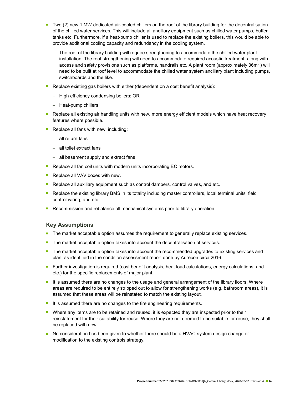- Two (2) new 1 MW dedicated air-cooled chillers on the roof of the library building for the decentralisation of the chilled water services. This will include all ancillary equipment such as chilled water pumps, buffer tanks etc. Furthermore, if a heat-pump chiller is used to replace the existing boilers, this would be able to provide additional cooling capacity and redundancy in the cooling system.
	- The roof of the library building will require strengthening to accommodate the chilled water plant installation. The roof strengthening will need to accommodate required acoustic treatment, along with access and safety provisions such as platforms, handrails etc. A plant room (approximately 36m<sup>2</sup>) will need to be built at roof level to accommodate the chilled water system ancillary plant including pumps, switchboards and the like.
- **Replace existing gas boilers with either (dependent on a cost benefit analysis):** 
	- High efficiency condensing boilers; OR
	- Heat-pump chillers
- **Replace all existing air handling units with new, more energy efficient models which have heat recovery** features where possible.
- Replace all fans with new, including:
	- all return fans
	- all toilet extract fans
	- $-$  all basement supply and extract fans
- Replace all fan coil units with modern units incorporating EC motors.
- Replace all VAV boxes with new.
- **Replace all auxiliary equipment such as control dampers, control valves, and etc.**
- Replace the existing library BMS in its totality including master controllers, local terminal units, field control wiring, and etc.
- Recommission and rebalance all mechanical systems prior to library operation.

#### Key Assumptions

- The market acceptable option assumes the requirement to generally replace existing services.
- The market acceptable option takes into account the decentralisation of services.
- **The market acceptable option takes into account the recommended upgrades to existing services and** plant as identified in the condition assessment report done by Aurecon circa 2016.
- **Further investigation is required (cost benefit analysis, heat load calculations, energy calculations, and** etc.) for the specific replacements of major plant.
- It is assumed there are no changes to the usage and general arrangement of the library floors. Where areas are required to be entirely stripped out to allow for strengthening works (e.g. bathroom areas), it is assumed that these areas will be reinstated to match the existing layout.
- It is assumed there are no changes to the fire engineering requirements.
- Where any items are to be retained and reused, it is expected they are inspected prior to their reinstatement for their suitability for reuse. Where they are not deemed to be suitable for reuse, they shall be replaced with new.
- **No consideration has been given to whether there should be a HVAC system design change or** modification to the existing controls strategy.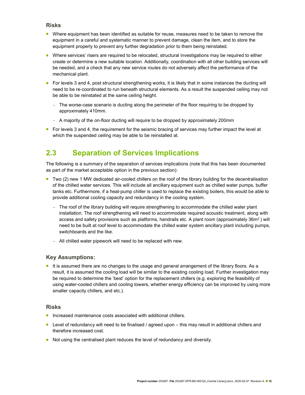#### Risks

- **Number** Where equipment has been identified as suitable for reuse, measures need to be taken to remove the equipment in a careful and systematic manner to prevent damage, clean the item, and to store the equipment properly to prevent any further degradation prior to them being reinstated.
- **Number 2** Where services' risers are required to be relocated, structural investigations may be required to either create or determine a new suitable location. Additionally, coordination with all other building services will be needed, and a check that any new service routes do not adversely affect the performance of the mechanical plant.
- For levels 3 and 4, post structural strengthening works, it is likely that in some instances the ducting will need to be re-coordinated to run beneath structural elements. As a result the suspended ceiling may not be able to be reinstated at the same ceiling height.
	- The worse-case scenario is ducting along the perimeter of the floor requiring to be dropped by approximately 410mm.
	- A majority of the on-floor ducting will require to be dropped by approximately 200mm
- For levels 3 and 4, the requirement for the seismic bracing of services may further impact the level at which the suspended ceiling may be able to be reinstalled at.

### 2.3 Separation of Services Implications

The following is a summary of the separation of services implications (note that this has been documented as part of the market acceptable option in the previous section):

- Two (2) new 1 MW dedicated air-cooled chillers on the roof of the library building for the decentralisation of the chilled water services. This will include all ancillary equipment such as chilled water pumps, buffer tanks etc. Furthermore, if a heat-pump chiller is used to replace the existing boilers, this would be able to provide additional cooling capacity and redundancy in the cooling system.
	- The roof of the library building will require strengthening to accommodate the chilled water plant installation. The roof strengthening will need to accommodate required acoustic treatment, along with access and safety provisions such as platforms, handrails etc. A plant room (approximately 36m<sup>2</sup>) will need to be built at roof level to accommodate the chilled water system ancillary plant including pumps, switchboards and the like.
	- All chilled water pipework will need to be replaced with new.

#### Key Assumptions:

It is assumed there are no changes to the usage and general arrangement of the library floors. As a result, it is assumed the cooling load will be similar to the existing cooling load. Further investigation may be required to determine the 'best' option for the replacement chillers (e.g. exploring the feasibility of using water-cooled chillers and cooling towers, whether energy efficiency can be improved by using more smaller capacity chillers, and etc.).

#### Risks

- **Increased maintenance costs associated with additional chillers.**
- Level of redundancy will need to be finalised / agreed upon  $-$  this may result in additional chillers and therefore increased cost.
- Not using the centralised plant reduces the level of redundancy and diversity.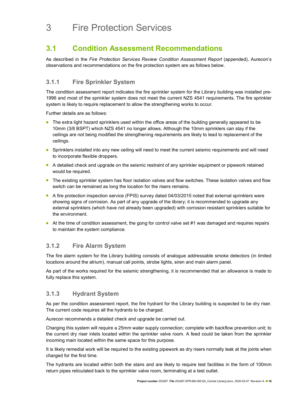# 3 Fire Protection Services

### 3.1 Condition Assessment Recommendations

As described in the Fire Protection Services Review Condition Assessment Report (appended), Aurecon's observations and recommendations on the fire protection system are as follows below.

### 3.1.1 Fire Sprinkler System

The condition assessment report indicates the fire sprinkler system for the Library building was installed pre-1996 and most of the sprinkler system does not meet the current NZS 4541 requirements. The fire sprinkler system is likely to require replacement to allow the strengthening works to occur.

Further details are as follows:

- **The extra light hazard sprinklers used within the office areas of the building generally appeared to be** 10mm (3/8 BSPT) which NZS 4541 no longer allows. Although the 10mm sprinklers can stay if the ceilings are not being modified the strengthening requirements are likely to lead to replacement of the ceilings.
- Sprinklers installed into any new ceiling will need to meet the current seismic requirements and will need to incorporate flexible droppers.
- A detailed check and upgrade on the seismic restraint of any sprinkler equipment or pipework retained would be required.
- The existing sprinkler system has floor isolation valves and flow switches. These isolation valves and flow switch can be remained as long the location for the risers remains.
- A fire protection inspection service (FPIS) survey dated 04/03/2015 noted that external sprinklers were showing signs of corrosion. As part of any upgrade of the library; it is recommended to upgrade any external sprinklers (which have not already been upgraded) with corrosion resistant sprinklers suitable for the environment.
- At the time of condition assessment, the gong for control valve set  $#1$  was damaged and requires repairs to maintain the system compliance.

### 3.1.2 Fire Alarm System

The fire alarm system for the Library building consists of analogue addressable smoke detectors (in limited locations around the atrium), manual call points, strobe lights, siren and main alarm panel.

As part of the works required for the seismic strengthening, it is recommended that an allowance is made to fully replace this system.

### 3.1.3 Hydrant System

As per the condition assessment report, the fire hydrant for the Library building is suspected to be dry riser. The current code requires all the hydrants to be charged.

Aurecon recommends a detailed check and upgrade be carried out.

Charging this system will require a 25mm water supply connection; complete with backflow prevention unit; to the current dry riser inlets located within the sprinkler valve room. A feed could be taken from the sprinkler incoming main located within the same space for this purpose.

It is likely remedial work will be required to the existing pipework as dry risers normally leak at the joints when charged for the first time.

The hydrants are located within both the stairs and are likely to require test facilities in the form of 100mm return pipes reticulated back to the sprinkler valve room, terminating at a test outlet.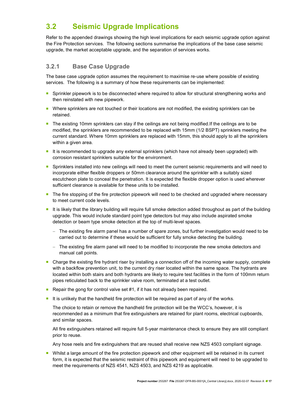### 3.2 Seismic Upgrade Implications

Refer to the appended drawings showing the high level implications for each seismic upgrade option against the Fire Protection services. The following sections summarise the implications of the base case seismic upgrade, the market acceptable upgrade, and the separation of services works.

### 3.2.1 Base Case Upgrade

The base case upgrade option assumes the requirement to maximise re-use where possible of existing services. The following is a summary of how these requirements can be implemented:

- **Sprinkler pipework is to be disconnected where required to allow for structural strengthening works and** then reinstated with new pipework.
- **Number** Where sprinklers are not touched or their locations are not modified, the existing sprinklers can be retained.
- The existing 10mm sprinklers can stay if the ceilings are not being modified. If the ceilings are to be modified, the sprinklers are recommended to be replaced with 15mm (1/2 BSPT) sprinklers meeting the current standard. Where 10mm sprinklers are replaced with 15mm, this should apply to all the sprinklers within a given area.
- It is recommended to upgrade any external sprinklers (which have not already been upgraded) with corrosion resistant sprinklers suitable for the environment.
- **Sprinklers installed into new ceilings will need to meet the current seismic requirements and will need to** incorporate either flexible droppers or 50mm clearance around the sprinkler with a suitably sized escutcheon plate to conceal the penetration. It is expected the flexible dropper option is used wherever sufficient clearance is available for these units to be installed.
- **The fire stopping of the fire protection pipework will need to be checked and upgraded where necessary** to meet current code levels.
- It is likely that the library building will require full smoke detection added throughout as part of the building upgrade. This would include standard point type detectors but may also include aspirated smoke detection or beam type smoke detection at the top of multi-level spaces.
	- $-$  The existing fire alarm panel has a number of spare zones, but further investigation would need to be carried out to determine if these would be sufficient for fully smoke detecting the building.
	- The existing fire alarm panel will need to be modified to incorporate the new smoke detectors and manual call points.
- Charge the existing fire hydrant riser by installing a connection off of the incoming water supply, complete with a backflow prevention unit, to the current dry riser located within the same space. The hydrants are located within both stairs and both hydrants are likely to require test facilities in the form of 100mm return pipes reticulated back to the sprinkler valve room, terminated at a test outlet.
- Repair the gong for control valve set  $#1$ , if it has not already been repaired.
- It is unlikely that the handheld fire protection will be required as part of any of the works.

The choice to retain or remove the handheld fire protection will be the WCC's, however, it is recommended as a minimum that fire extinguishers are retained for plant rooms, electrical cupboards, and similar spaces.

All fire extinguishers retained will require full 5-year maintenance check to ensure they are still compliant prior to reuse.

Any hose reels and fire extinguishers that are reused shall receive new NZS 4503 compliant signage.

**Number 1** Whilst a large amount of the fire protection pipework and other equipment will be retained in its current form, it is expected that the seismic restraint of this pipework and equipment will need to be upgraded to meet the requirements of NZS 4541, NZS 4503, and NZS 4219 as applicable.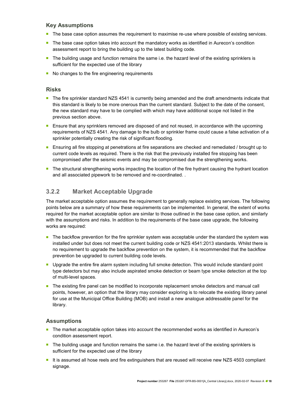### Key Assumptions

- The base case option assumes the requirement to maximise re-use where possible of existing services.
- **The base case option takes into account the mandatory works as identified in Aurecon's condition** assessment report to bring the building up to the latest building code.
- The building usage and function remains the same i.e. the hazard level of the existing sprinklers is sufficient for the expected use of the library
- No changes to the fire engineering requirements

#### Risks

- The fire sprinkler standard NZS 4541 is currently being amended and the draft amendments indicate that this standard is likely to be more onerous than the current standard. Subject to the date of the consent, the new standard may have to be complied with which may have additional scope not listed in the previous section above.
- **Ensure that any sprinklers removed are disposed of and not reused, in accordance with the upcoming** requirements of NZS 4541. Any damage to the bulb or sprinkler frame could cause a false activation of a sprinkler potentially creating the risk of significant flooding.
- **Ensuring all fire stopping at penetrations at fire separations are checked and remediated / brought up to** current code levels as required. There is the risk that the previously installed fire stopping has been compromised after the seismic events and may be compromised due the strengthening works.
- **The structural strengthening works impacting the location of the fire hydrant causing the hydrant location** and all associated pipework to be removed and re-coordinated. .

### 3.2.2 Market Acceptable Upgrade

The market acceptable option assumes the requirement to generally replace existing services. The following points below are a summary of how these requirements can be implemented. In general, the extent of works required for the market acceptable option are similar to those outlined in the base case option, and similarly with the assumptions and risks. In addition to the requirements of the base case upgrade, the following works are required:

- The backflow prevention for the fire sprinkler system was acceptable under the standard the system was installed under but does not meet the current building code or NZS 4541:2013 standards. Whilst there is no requirement to upgrade the backflow prevention on the system, it is recommended that the backflow prevention be upgraded to current building code levels.
- **Upgrade the entire fire alarm system including full smoke detection. This would include standard point** type detectors but may also include aspirated smoke detection or beam type smoke detection at the top of multi-level spaces.
- **The existing fire panel can be modified to incorporate replacement smoke detectors and manual call** points, however, an option that the library may consider exploring is to relocate the existing library panel for use at the Municipal Office Building (MOB) and install a new analogue addressable panel for the library.

#### Assumptions

- The market acceptable option takes into account the recommended works as identified in Aurecon's condition assessment report.
- The building usage and function remains the same i.e. the hazard level of the existing sprinklers is sufficient for the expected use of the library
- It is assumed all hose reels and fire extinguishers that are reused will receive new NZS 4503 compliant signage.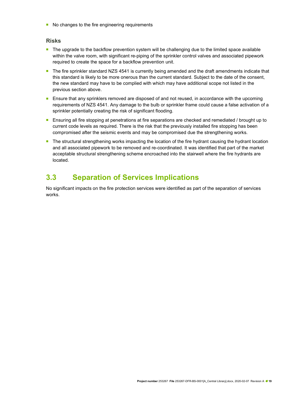No changes to the fire engineering requirements

#### Risks

- The upgrade to the backflow prevention system will be challenging due to the limited space available within the valve room, with significant re-piping of the sprinkler control valves and associated pipework required to create the space for a backflow prevention unit.
- The fire sprinkler standard NZS 4541 is currently being amended and the draft amendments indicate that this standard is likely to be more onerous than the current standard. Subject to the date of the consent, the new standard may have to be complied with which may have additional scope not listed in the previous section above.
- **Ensure that any sprinklers removed are disposed of and not reused, in accordance with the upcoming** requirements of NZS 4541. Any damage to the bulb or sprinkler frame could cause a false activation of a sprinkler potentially creating the risk of significant flooding.
- **E** Ensuring all fire stopping at penetrations at fire separations are checked and remediated / brought up to current code levels as required. There is the risk that the previously installed fire stopping has been compromised after the seismic events and may be compromised due the strengthening works.
- **The structural strengthening works impacting the location of the fire hydrant causing the hydrant location** and all associated pipework to be removed and re-coordinated. It was identified that part of the market acceptable structural strengthening scheme encroached into the stairwell where the fire hydrants are located.

### 3.3 Separation of Services Implications

No significant impacts on the fire protection services were identified as part of the separation of services works.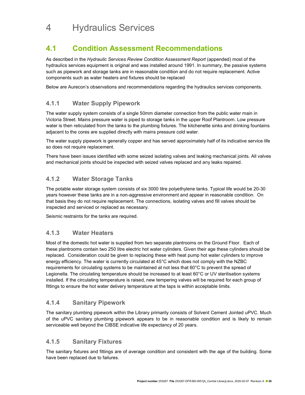# 4 Hydraulics Services

### 4.1 Condition Assessment Recommendations

As described in the Hydraulic Services Review Condition Assessment Report (appended) most of the hydraulics services equipment is original and was installed around 1991. In summary, the passive systems such as pipework and storage tanks are in reasonable condition and do not require replacement. Active components such as water heaters and fixtures should be replaced

Below are Aurecon's observations and recommendations regarding the hydraulics services components.

### 4.1.1 Water Supply Pipework

The water supply system consists of a single 50mm diameter connection from the public water main in Victoria Street. Mains pressure water is piped to storage tanks in the upper Roof Plantroom. Low pressure water is then reticulated from the tanks to the plumbing fixtures. The kitchenette sinks and drinking fountains adjacent to the cores are supplied directly with mains pressure cold water.

The water supply pipework is generally copper and has served approximately half of its indicative service life so does not require replacement.

There have been issues identified with some seized isolating valves and leaking mechanical joints. All valves and mechanical joints should be inspected with seized valves replaced and any leaks repaired.

### 4.1.2 Water Storage Tanks

The potable water storage system consists of six 3000 litre polyethylene tanks. Typical life would be 20-30 years however these tanks are in a non-aggressive environment and appear in reasonable condition. On that basis they do not require replacement. The connections, isolating valves and fill valves should be inspected and serviced or replaced as necessary.

Seismic restraints for the tanks are required.

### 4.1.3 Water Heaters

Most of the domestic hot water is supplied from two separate plantrooms on the Ground Floor. Each of these plantrooms contain two 250 litre electric hot water cylinders. Given their age these cylinders should be replaced. Consideration could be given to replacing these with heat pump hot water cylinders to improve energy efficiency. The water is currently circulated at 45°C which does not comply with the NZBC requirements for circulating systems to be maintained at not less that 60°C to prevent the spread of Legionella. The circulating temperature should be increased to at least 60°C or UV sterilisation systems installed. If the circulating temperature is raised, new tempering valves will be required for each group of fittings to ensure the hot water delivery temperature at the taps is within acceptable limits.

### 4.1.4 Sanitary Pipework

The sanitary plumbing pipework within the Library primarily consists of Solvent Cement Jointed uPVC. Much of the uPVC sanitary plumbing pipework appears to be in reasonable condition and is likely to remain serviceable well beyond the CIBSE indicative life expectancy of 20 years.

### 4.1.5 Sanitary Fixtures

The sanitary fixtures and fittings are of average condition and consistent with the age of the building. Some have been replaced due to failures.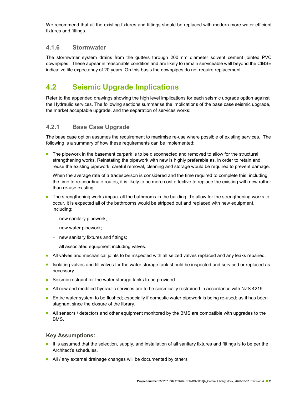We recommend that all the existing fixtures and fittings should be replaced with modern more water efficient fixtures and fittings.

### 4.1.6 Stormwater

The stormwater system drains from the gutters through 200 mm diameter solvent cement jointed PVC downpipes. These appear in reasonable condition and are likely to remain serviceable well beyond the CIBSE indicative life expectancy of 20 years. On this basis the downpipes do not require replacement.

### 4.2 Seismic Upgrade Implications

Refer to the appended drawings showing the high level implications for each seismic upgrade option against the Hydraulic services. The following sections summarise the implications of the base case seismic upgrade, the market acceptable upgrade, and the separation of services works:

### 4.2.1 Base Case Upgrade

The base case option assumes the requirement to maximise re-use where possible of existing services. The following is a summary of how these requirements can be implemented:

The pipework in the basement carpark is to be disconnected and removed to allow for the structural strengthening works. Reinstating the pipework with new is highly preferable as, in order to retain and reuse the existing pipework, careful removal, cleaning and storage would be required to prevent damage.

When the average rate of a tradesperson is considered and the time required to complete this, including the time to re-coordinate routes, it is likely to be more cost effective to replace the existing with new rather than re-use existing.

- The strengthening works impact all the bathrooms in the building. To allow for the strengthening works to occur, it is expected all of the bathrooms would be stripped out and replaced with new equipment, including:
	- $-$  new sanitary pipework;
	- new water pipework;
	- $-$  new sanitary fixtures and fittings;
	- all associated equipment including valves.
- All valves and mechanical joints to be inspected with all seized valves replaced and any leaks repaired.
- Isolating valves and fill valves for the water storage tank should be inspected and serviced or replaced as necessary.
- Seismic restraint for the water storage tanks to be provided.
- All new and modified hydraulic services are to be seismically restrained in accordance with NZS 4219.
- **Entire water system to be flushed; especially if domestic water pipework is being re-used; as it has been** stagnant since the closure of the library.
- All sensors / detectors and other equipment monitored by the BMS are compatible with upgrades to the BMS.

#### Key Assumptions:

- It is assumed that the selection, supply, and installation of all sanitary fixtures and fittings is to be per the Architect's schedules.
- All / any external drainage changes will be documented by others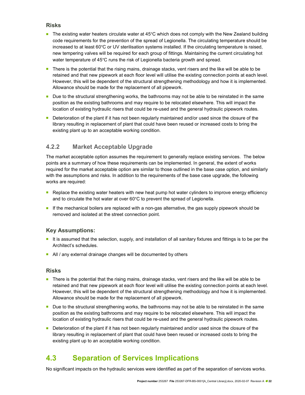### Risks

- The existing water heaters circulate water at 45°C which does not comply with the New Zealand building code requirements for the prevention of the spread of Legionella. The circulating temperature should be increased to at least 60°C or UV sterilisation systems installed. If the circulating temperature is raised, new tempering valves will be required for each group of fittings. Maintaining the current circulating hot water temperature of 45°C runs the risk of Legionella bacteria growth and spread.
- There is the potential that the rising mains, drainage stacks, vent risers and the like will be able to be retained and that new pipework at each floor level will utilise the existing connection points at each level. However, this will be dependent of the structural strengthening methodology and how it is implemented. Allowance should be made for the replacement of all pipework.
- Due to the structural strengthening works, the bathrooms may not be able to be reinstated in the same position as the existing bathrooms and may require to be relocated elsewhere. This will impact the location of existing hydraulic risers that could be re-used and the general hydraulic pipework routes.
- Deterioration of the plant if it has not been regularly maintained and/or used since the closure of the library resulting in replacement of plant that could have been reused or increased costs to bring the existing plant up to an acceptable working condition.

### 4.2.2 Market Acceptable Upgrade

The market acceptable option assumes the requirement to generally replace existing services. The below points are a summary of how these requirements can be implemented. In general, the extent of works required for the market acceptable option are similar to those outlined in the base case option, and similarly with the assumptions and risks. In addition to the requirements of the base case upgrade, the following works are required:

- **Replace the existing water heaters with new heat pump hot water cylinders to improve energy efficiency** and to circulate the hot water at over 60°C to prevent the spread of Legionella.
- If the mechanical boilers are replaced with a non-gas alternative, the gas supply pipework should be removed and isolated at the street connection point.

#### Key Assumptions:

- It is assumed that the selection, supply, and installation of all sanitary fixtures and fittings is to be per the Architect's schedules.
- All / any external drainage changes will be documented by others

#### Risks

- There is the potential that the rising mains, drainage stacks, vent risers and the like will be able to be retained and that new pipework at each floor level will utilise the existing connection points at each level. However, this will be dependent of the structural strengthening methodology and how it is implemented. Allowance should be made for the replacement of all pipework.
- Due to the structural strengthening works, the bathrooms may not be able to be reinstated in the same position as the existing bathrooms and may require to be relocated elsewhere. This will impact the location of existing hydraulic risers that could be re-used and the general hydraulic pipework routes.
- Deterioration of the plant if it has not been regularly maintained and/or used since the closure of the library resulting in replacement of plant that could have been reused or increased costs to bring the existing plant up to an acceptable working condition.

### 4.3 Separation of Services Implications

No significant impacts on the hydraulic services were identified as part of the separation of services works.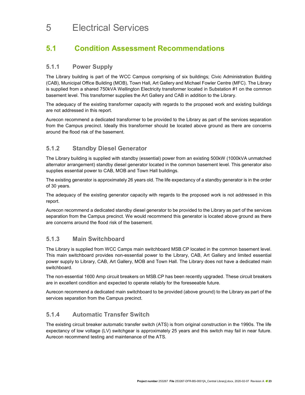## 5 Electrical Services

### 5.1 Condition Assessment Recommendations

### 5.1.1 Power Supply

The Library building is part of the WCC Campus comprising of six buildings; Civic Administration Building (CAB), Municipal Office Building (MOB), Town Hall, Art Gallery and Michael Fowler Centre (MFC). The Library is supplied from a shared 750kVA Wellington Electricity transformer located in Substation #1 on the common basement level. This transformer supplies the Art Gallery and CAB in addition to the Library.

The adequacy of the existing transformer capacity with regards to the proposed work and existing buildings are not addressed in this report.

Aurecon recommend a dedicated transformer to be provided to the Library as part of the services separation from the Campus precinct. Ideally this transformer should be located above ground as there are concerns around the flood risk of the basement.

### 5.1.2 Standby Diesel Generator

The Library building is supplied with standby (essential) power from an existing 500kW (1000kVA unmatched alternator arrangement) standby diesel generator located in the common basement level. This generator also supplies essential power to CAB, MOB and Town Hall buildings.

The existing generator is approximately 26 years old. The life expectancy of a standby generator is in the order of 30 years.

The adequacy of the existing generator capacity with regards to the proposed work is not addressed in this report.

Aurecon recommend a dedicated standby diesel generator to be provided to the Library as part of the services separation from the Campus precinct. We would recommend this generator is located above ground as there are concerns around the flood risk of the basement.

### 5.1.3 Main Switchboard

The Library is supplied from WCC Camps main switchboard MSB.CP located in the common basement level. This main switchboard provides non-essential power to the Library, CAB, Art Gallery and limited essential power supply to Library, CAB, Art Gallery, MOB and Town Hall. The Library does not have a dedicated main switchboard.

The non-essential 1600 Amp circuit breakers on MSB.CP has been recently upgraded. These circuit breakers are in excellent condition and expected to operate reliably for the foreseeable future.

Aurecon recommend a dedicated main switchboard to be provided (above ground) to the Library as part of the services separation from the Campus precinct.

### 5.1.4 Automatic Transfer Switch

The existing circuit breaker automatic transfer switch (ATS) is from original construction in the 1990s. The life expectancy of low voltage (LV) switchgear is approximately 25 years and this switch may fail in near future. Aurecon recommend testing and maintenance of the ATS.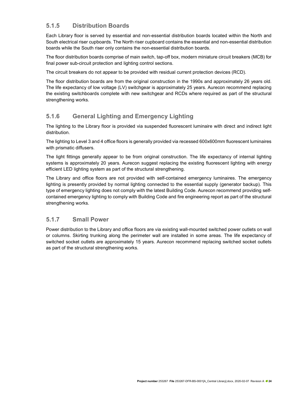### 5.1.5 Distribution Boards

Each Library floor is served by essential and non-essential distribution boards located within the North and South electrical riser cupboards. The North riser cupboard contains the essential and non-essential distribution boards while the South riser only contains the non-essential distribution boards.

The floor distribution boards comprise of main switch, tap-off box, modern miniature circuit breakers (MCB) for final power sub-circuit protection and lighting control sections.

The circuit breakers do not appear to be provided with residual current protection devices (RCD).

The floor distribution boards are from the original construction in the 1990s and approximately 26 years old. The life expectancy of low voltage (LV) switchgear is approximately 25 years. Aurecon recommend replacing the existing switchboards complete with new switchgear and RCDs where required as part of the structural strengthening works.

### 5.1.6 General Lighting and Emergency Lighting

The lighting to the Library floor is provided via suspended fluorescent luminaire with direct and indirect light distribution.

The lighting to Level 3 and 4 office floors is generally provided via recessed 600x600mm fluorescent luminaires with prismatic diffusers.

The light fittings generally appear to be from original construction. The life expectancy of internal lighting systems is approximately 20 years. Aurecon suggest replacing the existing fluorescent lighting with energy efficient LED lighting system as part of the structural strengthening.

The Library and office floors are not provided with self-contained emergency luminaires. The emergency lighting is presently provided by normal lighting connected to the essential supply (generator backup). This type of emergency lighting does not comply with the latest Building Code. Aurecon recommend providing selfcontained emergency lighting to comply with Building Code and fire engineering report as part of the structural strengthening works.

### 5.1.7 Small Power

Power distribution to the Library and office floors are via existing wall-mounted switched power outlets on wall or columns. Skirting trunking along the perimeter wall are installed in some areas. The life expectancy of switched socket outlets are approximately 15 years. Aurecon recommend replacing switched socket outlets as part of the structural strengthening works.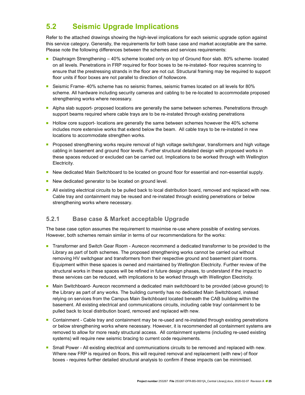### 5.2 Seismic Upgrade Implications

Refer to the attached drawings showing the high-level implications for each seismic upgrade option against this service category. Generally, the requirements for both base case and market acceptable are the same. Please note the following differences between the schemes and services requirements:

- Diaphragm Strengthening 40% scheme located only on top of Ground floor slab. 80% scheme- located on all levels. Penetrations in FRP required for floor boxes to be re-instated- floor requires scanning to ensure that the prestressing strands in the floor are not cut. Structural framing may be required to support floor units if floor boxes are not parallel to direction of hollowcore.
- Seismic Frame- 40% scheme has no seismic frames, seismic frames located on all levels for 80% scheme. All hardware including security cameras and cabling to be re-located to accommodate proposed strengthening works where necessary.
- Alpha slab support- proposed locations are generally the same between schemes. Penetrations through support beams required where cable trays are to be re-instated through existing penetrations
- Hollow core support- locations are generally the same between schemes however the 40% scheme includes more extensive works that extend below the beam. All cable trays to be re-instated in new locations to accommodate strengthen works.
- **Proposed strengthening works require removal of high voltage switchgear, transformers and high voltage** cabling in basement and ground floor levels. Further structural detailed design with proposed works in these spaces reduced or excluded can be carried out. Implications to be worked through with Wellington Electricity.
- New dedicated Main Switchboard to be located on ground floor for essential and non-essential supply.
- New dedicated generator to be located on ground level.
- All existing electrical circuits to be pulled back to local distribution board, removed and replaced with new. Cable tray and containment may be reused and re-instated through existing penetrations or below strengthening works where necessary.

### 5.2.1 Base case & Market acceptable Upgrade

The base case option assumes the requirement to maximise re-use where possible of existing services. However, both schemes remain similar in terms of our recommendations for the works:

- Transformer and Switch Gear Room Aurecon recommend a dedicated transformer to be provided to the Library as part of both schemes. The proposed strengthening works cannot be carried out without removing HV switchgear and transformers from their respective ground and basement plant rooms. Equipment within these spaces is owned and maintained by Wellington Electricity. Further review of the structural works in these spaces will be refined in future design phases, to understand if the impact to these services can be reduced, with implications to be worked through with Wellington Electricity.
- Main Switchboard- Aurecon recommend a dedicated main switchboard to be provided (above ground) to the Library as part of any works. The building currently has no dedicated Main Switchboard, instead relying on services from the Campus Main Switchboard located beneath the CAB building within the basement. All existing electrical and communications circuits, including cable tray/ containment to be pulled back to local distribution board, removed and replaced with new.
- **Containment Cable tray and containment may be re-used and re-instated through existing penetrations** or below strengthening works where necessary. However, it is recommended all containment systems are removed to allow for more ready structural access. All containment systems (including re-used existing systems) will require new seismic bracing to current code requirements.
- **Small Power All existing electrical and communications circuits to be removed and replaced with new.** Where new FRP is required on floors, this will required removal and replacement (with new) of floor boxes - requires further detailed structural analysis to confirm if these impacts can be minimised.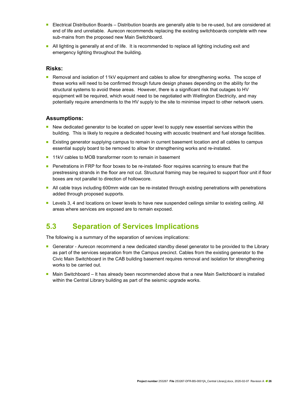- Electrical Distribution Boards Distribution boards are generally able to be re-used, but are considered at end of life and unreliable. Aurecon recommends replacing the existing switchboards complete with new sub-mains from the proposed new Main Switchboard.
- All lighting is generally at end of life. It is recommended to replace all lighting including exit and emergency lighting throughout the building.

#### Risks:

**Removal and isolation of 11kV equipment and cables to allow for strengthening works. The scope of** these works will need to be confirmed through future design phases depending on the ability for the structural systems to avoid these areas. However, there is a significant risk that outages to HV equipment will be required, which would need to be negotiated with Wellington Electricity, and may potentially require amendments to the HV supply to the site to minimise impact to other network users.

#### Assumptions:

- New dedicated generator to be located on upper level to supply new essential services within the building. This is likely to require a dedicated housing with acoustic treatment and fuel storage facilities.
- **Existing generator supplying campus to remain in current basement location and all cables to campus** essential supply board to be removed to allow for strengthening works and re-instated.
- 11kV cables to MOB transformer room to remain in basement
- **Penetrations in FRP for floor boxes to be re-instated- floor requires scanning to ensure that the** prestressing strands in the floor are not cut. Structural framing may be required to support floor unit if floor boxes are not parallel to direction of hollowcore.
- All cable trays including 600mm wide can be re-instated through existing penetrations with penetrations added through proposed supports.
- **Levels 3, 4 and locations on lower levels to have new suspended ceilings similar to existing ceiling. All** areas where services are exposed are to remain exposed.

### 5.3 Separation of Services Implications

The following is a summary of the separation of services implications:

- Generator Aurecon recommend a new dedicated standby diesel generator to be provided to the Library as part of the services separation from the Campus precinct. Cables from the existing generator to the Civic Main Switchboard in the CAB building basement requires removal and isolation for strengthening works to be carried out.
- Main Switchboard It has already been recommended above that a new Main Switchboard is installed within the Central Library building as part of the seismic upgrade works.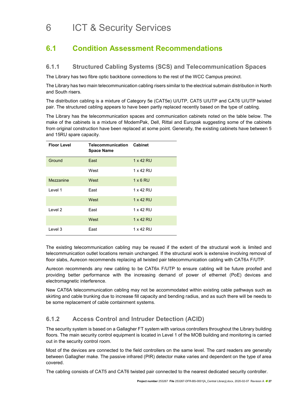# 6 ICT & Security Services

### 6.1 Condition Assessment Recommendations

### 6.1.1 Structured Cabling Systems (SCS) and Telecommunication Spaces

The Library has two fibre optic backbone connections to the rest of the WCC Campus precinct.

The Library has two main telecommunication cabling risers similar to the electrical submain distribution in North and South risers.

The distribution cabling is a mixture of Category 5e (CAT5e) U/UTP, CAT5 U/UTP and CAT6 U/UTP twisted pair. The structured cabling appears to have been partly replaced recently based on the type of cabling.

The Library has the telecommunication spaces and communication cabinets noted on the table below. The make of the cabinets is a mixture of ModemPak, Dell, Rittal and Europak suggesting some of the cabinets from original construction have been replaced at some point. Generally, the existing cabinets have between 5 and 15RU spare capacity.

| <b>Floor Level</b> | <b>Telecommunication Cabinet</b><br><b>Space Name</b> |                 |
|--------------------|-------------------------------------------------------|-----------------|
| Ground             | East                                                  | 1 x 42 RU       |
|                    | West                                                  | 1 x 42 RU       |
| Mezzanine          | West                                                  | $1 \times 6$ RU |
| Level 1            | East                                                  | 1 x 42 RU       |
|                    | West                                                  | 1 x 42 RU       |
| Level 2            | Fast                                                  | 1 x 42 RU       |
|                    | West                                                  | 1 x 42 RU       |
| Level 3            | East                                                  | 1 x 42 RU       |

The existing telecommunication cabling may be reused if the extent of the structural work is limited and telecommunication outlet locations remain unchanged. If the structural work is extensive involving removal of floor slabs, Aurecon recommends replacing all twisted pair telecommunication cabling with CAT6A F/UTP.

Aurecon recommends any new cabling to be CAT6A F/UTP to ensure cabling will be future proofed and providing better performance with the increasing demand of power of ethernet (PoE) devices and electromagnetic interference.

New CAT6A telecommunication cabling may not be accommodated within existing cable pathways such as skirting and cable trunking due to increase fill capacity and bending radius, and as such there will be needs to be some replacement of cable containment systems.

### 6.1.2 Access Control and Intruder Detection (ACID)

The security system is based on a Gallagher FT system with various controllers throughout the Library building floors. The main security control equipment is located in Level 1 of the MOB building and monitoring is carried out in the security control room.

Most of the devices are connected to the field controllers on the same level. The card readers are generally between Gallagher make. The passive infrared (PIR) detector make varies and dependent on the type of area covered.

The cabling consists of CAT5 and CAT6 twisted pair connected to the nearest dedicated security controller.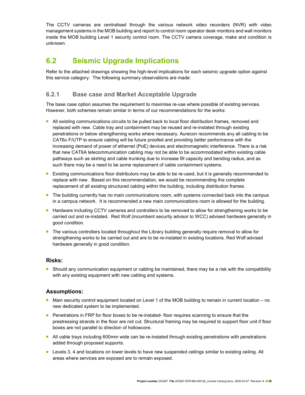The CCTV cameras are centralised through the various network video recorders (NVR) with video management systems in the MOB building and report to control room operator desk monitors and wall monitors inside the MOB building Level 1 security control room. The CCTV camera coverage, make and condition is unknown.

### 6.2 Seismic Upgrade Implications

Refer to the attached drawings showing the high-level implications for each seismic upgrade option against this service category. The following summary observations are made:

### 6.2.1 Base case and Market Acceptable Upgrade

The base case option assumes the requirement to maximise re-use where possible of existing services. However, both schemes remain similar in terms of our recommendations for the works:

- All existing communications circuits to be pulled back to local floor distribution frames, removed and replaced with new. Cable tray and containment may be reused and re-instated through existing penetrations or below strengthening works where necessary. Aurecon recommends any all cabling to be CAT6A F/UTP to ensure cabling will be future proofed and providing better performance with the increasing demand of power of ethernet (PoE) devices and electromagnetic interference. There is a risk that new CAT6A telecommunication cabling may not be able to be accommodated within existing cable pathways such as skirting and cable trunking due to increase fill capacity and bending radius, and as such there may be a need to be some replacement of cable containment systems.
- **Existing communications floor distributors may be able to be re-used, but it is generally recommended to** replace with new. Based on this recommendation, we would be recommending the complete replacement of all existing structured cabling within the building, including distribution frames.
- **The building currently has no main communications room, with systems connected back into the campus** in a campus network. It is recommended a new main communications room is allowed for the building.
- **Hardware including CCTV cameras and controllers to be removed to allow for strengthening works to be** carried out and re-instated. Red Wolf (incumbent security advisor to WCC) advised hardware generally in good condition.
- **The various controllers located throughout the Library building generally require removal to allow for** strengthening works to be carried out and are to be re-instated in existing locations. Red Wolf advised hardware generally in good condition.

#### Risks:

**Should any communication equipment or cabling be maintained, there may be a risk with the compatibility** with any existing equipment with new cabling and systems.

#### Assumptions:

- Main security control equipment located on Level 1 of the MOB building to remain in current location no new dedicated system to be implemented.
- **Penetrations in FRP for floor boxes to be re-instated- floor requires scanning to ensure that the** prestressing strands in the floor are not cut. Structural framing may be required to support floor unit if floor boxes are not parallel to direction of hollowcore.
- All cable trays including 600mm wide can be re-instated through existing penetrations with penetrations added through proposed supports.
- **Levels 3, 4 and locations on lower levels to have new suspended ceilings similar to existing ceiling. All** areas where services are exposed are to remain exposed.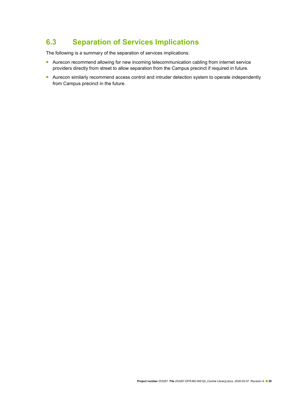### 6.3 Separation of Services Implications

The following is a summary of the separation of services implications:

- **Aurecon recommend allowing for new incoming telecommunication cabling from internet service** providers directly from street to allow separation from the Campus precinct if required in future.
- Aurecon similarly recommend access control and intruder detection system to operate independently from Campus precinct in the future.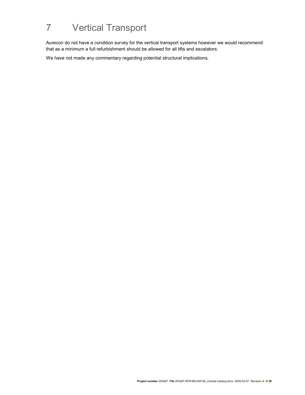# 7 Vertical Transport

Aurecon do not have a condition survey for the vertical transport systems however we would recommend that as a minimum a full refurbishment should be allowed for all lifts and escalators.

We have not made any commentary regarding potential structural implications.